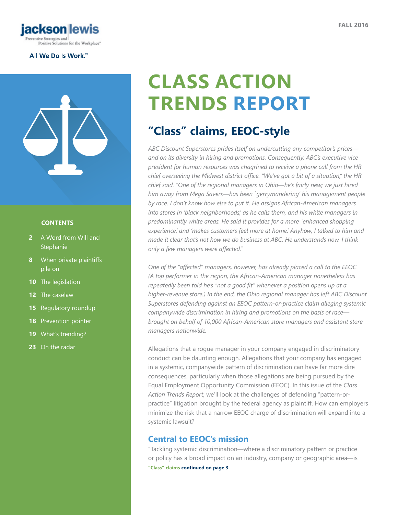

#### All We Do Is Work.<sup>\*\*</sup>



#### **CONTENTS**

- **2** [A Word from Will and](#page-1-0)  **[Stephanie](#page-1-0)**
- **8** [When](#page-7-0) private plaintiffs [pile on](#page-7-0)
- **10** The [legislation](#page-9-0)
- 12 The [caselaw](#page-11-0)
- **15** [Regulatory roundup](#page-14-0)
- **18** [Prevention pointer](#page-17-0)
- **19** What's [trending?](#page-18-0)
- **23** [On the radar](#page-22-0)

# **CLASS ACTION TRENDS REPORT**

## **"Class" claims, EEOC-style**

*ABC Discount Superstores prides itself on undercutting any competitor's prices and on its diversity in hiring and promotions. Consequently, ABC's executive vice president for human resources was chagrined to receive a phone call from the HR chief overseeing the Midwest district office. "We've got a bit of a situation," the HR chief said. "One of the regional managers in Ohio—he's fairly new; we just hired him away from Mega Savers—has been `gerrymandering' his management people by race. I don't know how else to put it. He assigns African-American managers into stores in 'black neighborhoods,' as he calls them, and his white managers in predominantly white areas. He said it provides for a more `enhanced shopping experience,' and 'makes customers feel more at home.' Anyhow, I talked to him and made it clear that's not how we do business at ABC. He understands now. I think only a few managers were affected."*

*One of the "affected" managers, however, has already placed a call to the EEOC. (A top performer in the region, the African-American manager nonetheless has repeatedly been told he's "not a good fit" whenever a position opens up at a higher-revenue store.) In the end, the Ohio regional manager has left ABC Discount Superstores defending against an EEOC pattern-or-practice claim alleging systemic companywide discrimination in hiring and promotions on the basis of race brought on behalf of 10,000 African-American store managers and assistant store managers nationwide.*

Allegations that a rogue manager in your company engaged in discriminatory conduct can be daunting enough. Allegations that your company has engaged in a systemic, companywide pattern of discrimination can have far more dire consequences, particularly when those allegations are being pursued by the Equal Employment Opportunity Commission (EEOC). In this issue of the *Class Action Trends Report*, we'll look at the challenges of defending "pattern-orpractice" litigation brought by the federal agency as plaintiff. How can employers minimize the risk that a narrow EEOC charge of discrimination will expand into a systemic lawsuit?

### **Central to EEOC's mission**

**"Class" claims continued on page 3** "Tackling systemic discrimination—where a discriminatory pattern or practice or policy has a broad impact on an industry, company or geographic area—is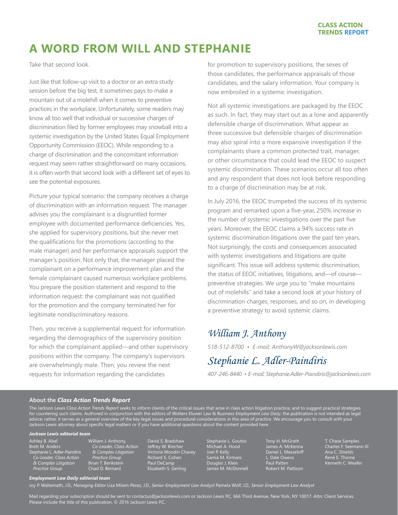## <span id="page-1-0"></span>**A WORD FROM WILL AND STEPHANIE**

Take that second look.

Just like that follow-up visit to a doctor or an extra study session before the big test, it sometimes pays to make a mountain out of a molehill when it comes to preventive practices in the workplace. Unfortunately, some readers may know all too well that individual or successive charges of discrimination filed by former employees may snowball into a systemic investigation by the United States Equal Employment Opportunity Commission (EEOC). While responding to a charge of discrimination and the concomitant information request may seem rather straightforward on many occasions, it is often worth that second look with a different set of eyes to see the potential exposures.

Picture your typical scenario: the company receives a charge of discrimination with an information request. The manager advises you the complainant is a disgruntled former employee with documented performance deficiencies. Yes, she applied for supervisory positions, but she never met the qualifications for the promotions (according to the male manager) and her performance appraisals support the manager's position. Not only that, the manager placed the complainant on a performance improvement plan and the female complainant caused numerous workplace problems. You prepare the position statement and respond to the information request: the complainant was not qualified for the promotion and the company terminated her for legitimate nondiscriminatory reasons.

Then, you receive a supplemental request for information regarding the demographics of the supervisory position for which the complainant applied—and other supervisory positions within the company. The company's supervisors are overwhelmingly male. Then, you review the next requests for information regarding the candidates

for promotion to supervisory positions, the sexes of those candidates, the performance appraisals of those candidates, and the salary information. Your company is now embroiled in a systemic investigation.

Not all systemic investigations are packaged by the EEOC as such. In fact, they may start out as a lone and apparently defensible charge of discrimination. What appear as three successive but defensible charges of discrimination may also spiral into a more expansive investigation if the complainants share a common protected trait, manager, or other circumstance that could lead the EEOC to suspect systemic discrimination. These scenarios occur all too often and any respondent that does not look before responding to a charge of discrimination may be at risk.

In July 2016, the EEOC trumpeted the success of its systemic program and remarked upon a five-year, 250% increase in the number of systemic investigations over the past five years. Moreover, the EEOC claims a 94% success rate in systemic discrimination litigations over the past ten years. Not surprisingly, the costs and consequences associated with systemic investigations and litigations are quite significant. This issue will address systemic discrimination, the status of EEOC initiatives, litigations, and—of course preventive strategies. We urge you to "make mountains out of molehills" and take a second look at your history of discrimination charges, responses, and so on, in developing a preventive strategy to avoid systemic claims.

## *William J. Anthony*

*518-512-8700 • E-mail: [AnthonyW@jacksonlewis.com](mailto:AnthonyW%40jacksonlewis.com?subject=)*

## *Stephanie L. Adler-Paindiris*

*407-246-8440 • E-mail: Stephanie.Adler-Paindiris@jacksonlewis.com*

#### **About the** *Class Action Trends Report*

The Jackson Lewis *Class Action Trends Report* seeks to inform clients of the critical issues that arise in class action litigation practice, and to suggest practical strategies for countering such claims. Authored in conjunction with the editors of Wolters Kluwer Law & Business *Employment Law Daily*, the publication is not intended as legal advice; rather, it serves as a general overview of the key legal issues and procedural considerations in this area of practice. We encourage you to consult with your Jackson Lewis attorney about specific legal matters or if you have additional questions about the content provided here.

#### *Jackson Lewis editorial team*

- Ashley B. Abel Brett M. Anders Stephanie L. Adler-Paindiris *Co-Leader, Class Action & Complex Litigation Practice Group*
- William J. Anthony, *Co-Leader, Class Action & Complex Litigation Practice Group* Brian T. Benkstein Chad D. Bernard

David S. Bradshaw Jeffrey W. Brecher Victoria Woodin Chavey Richard S. Cohen Paul DeCamp Elizabeth S. Gerling

Stephanie L. Goutos Michael A. Hood Joel P. Kelly Samia M. Kirmani Douglas J. Klein James M. McDonnell Tony H. McGrath James A. McKenna Daniel L. Messeloff L. Dale Owens Paul Patten Robert M. Pattison T. Chase Samples Charles F. Seemann III Ana C. Shields René E. Thorne Kenneth C. Weafer

#### *Employment Law Daily editorial team*

Joy P. Waltemath, J.D., *Managing Editor* Lisa Milam-Perez, J.D., *Senior Employment Law Analyst* Pamela Wolf, J.D., *Senior Employment Law Analyst*

Mail regarding your subscription should be sent to contactus@jacksonlewis.com or Jackson Lewis P.C. 666 Third Avenue, New York, NY 10017. Attn: Client Services. Please include the title of this publication. © 2016 Jackson Lewis P.C.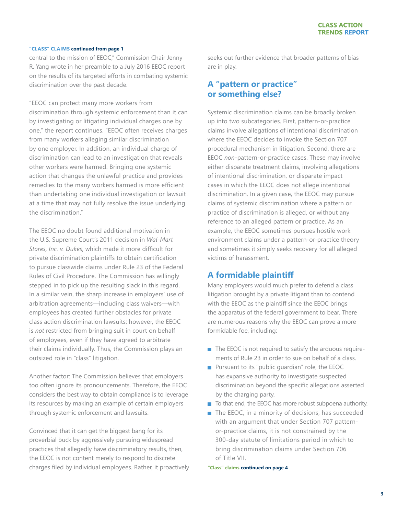central to the mission of EEOC," Commission Chair Jenny R. Yang wrote in her preamble to a July 2016 EEOC report on the results of its targeted efforts in combating systemic discrimination over the past decade.

"EEOC can protect many more workers from discrimination through systemic enforcement than it can by investigating or litigating individual charges one by one," the report continues. "EEOC often receives charges from many workers alleging similar discrimination by one employer. In addition, an individual charge of discrimination can lead to an investigation that reveals other workers were harmed. Bringing one systemic action that changes the unlawful practice and provides remedies to the many workers harmed is more efficient than undertaking one individual investigation or lawsuit at a time that may not fully resolve the issue underlying the discrimination."

The EEOC no doubt found additional motivation in the U.S. Supreme Court's 2011 decision in *Wal-Mart Stores, Inc. v. Dukes*, which made it more difficult for private discrimination plaintiffs to obtain certification to pursue classwide claims under Rule 23 of the Federal Rules of Civil Procedure. The Commission has willingly stepped in to pick up the resulting slack in this regard. In a similar vein, the sharp increase in employers' use of arbitration agreements—including class waivers—with employees has created further obstacles for private class action discrimination lawsuits; however, the EEOC is *not* restricted from bringing suit in court on behalf of employees, even if they have agreed to arbitrate their claims individually. Thus, the Commission plays an outsized role in "class" litigation.

Another factor: The Commission believes that employers too often ignore its pronouncements. Therefore, the EEOC considers the best way to obtain compliance is to leverage its resources by making an example of certain employers through systemic enforcement and lawsuits.

Convinced that it can get the biggest bang for its proverbial buck by aggressively pursuing widespread practices that allegedly have discriminatory results, then, the EEOC is not content merely to respond to discrete charges filed by individual employees. Rather, it proactively seeks out further evidence that broader patterns of bias are in play.

### **A "pattern or practice" or something else?**

Systemic discrimination claims can be broadly broken up into two subcategories. First, pattern-or-practice claims involve allegations of intentional discrimination where the EEOC decides to invoke the Section 707 procedural mechanism in litigation. Second, there are EEOC *non*-pattern-or-practice cases. These may involve either disparate treatment claims, involving allegations of intentional discrimination, or disparate impact cases in which the EEOC does not allege intentional discrimination. In a given case, the EEOC may pursue claims of systemic discrimination where a pattern or practice of discrimination is alleged, or without any reference to an alleged pattern or practice. As an example, the EEOC sometimes pursues hostile work environment claims under a pattern-or-practice theory and sometimes it simply seeks recovery for all alleged victims of harassment.

### **A formidable plaintiff**

Many employers would much prefer to defend a class litigation brought by a private litigant than to contend with the EEOC as the plaintiff since the EEOC brings the apparatus of the federal government to bear. There are numerous reasons why the EEOC can prove a more formidable foe, including:

- $\blacksquare$  The EEOC is not required to satisfy the arduous requirements of Rule 23 in order to sue on behalf of a class.
- **Pursuant to its "public quardian" role, the EEOC** has expansive authority to investigate suspected discrimination beyond the specific allegations asserted by the charging party.
- To that end, the EEOC has more robust subpoena authority.
- $\blacksquare$  The EEOC, in a minority of decisions, has succeeded with an argument that under Section 707 patternor-practice claims, it is not constrained by the 300-day statute of limitations period in which to bring discrimination claims under Section 706 of Title VII.

**"Class" claims continued on page 4**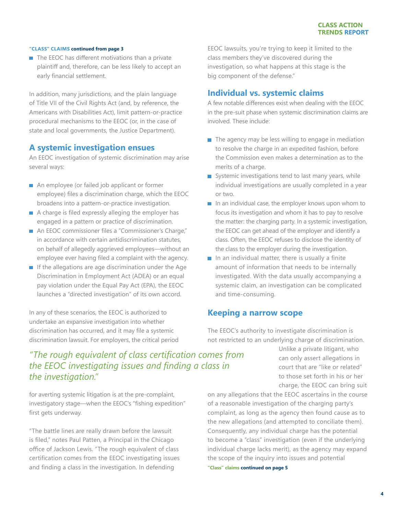$\blacksquare$  The EEOC has different motivations than a private plaintiff and, therefore, can be less likely to accept an early financial settlement.

In addition, many jurisdictions, and the plain language of Title VII of the Civil Rights Act (and, by reference, the Americans with Disabilities Act), limit pattern-or-practice procedural mechanisms to the EEOC (or, in the case of state and local governments, the Justice Department).

#### **A systemic investigation ensues**

An EEOC investigation of systemic discrimination may arise several ways:

- An employee (or failed job applicant or former employee) files a discrimination charge, which the EEOC broadens into a pattern-or-practice investigation.
- $\blacksquare$  A charge is filed expressly alleging the employer has engaged in a pattern or practice of discrimination.
- An EEOC commissioner files a "Commissioner's Charge," in accordance with certain antidiscrimination statutes, on behalf of allegedly aggrieved employees—without an employee ever having filed a complaint with the agency.
- $\blacksquare$  If the allegations are age discrimination under the Age Discrimination in Employment Act (ADEA) or an equal pay violation under the Equal Pay Act (EPA), the EEOC launches a "directed investigation" of its own accord.

In any of these scenarios, the EEOC is authorized to undertake an expansive investigation into whether discrimination has occurred, and it may file a systemic discrimination lawsuit. For employers, the critical period

## *"The rough equivalent of class certification comes from the EEOC investigating issues and finding a class in the investigation."*

for averting systemic litigation is at the pre-complaint, investigatory stage—when the EEOC's "fishing expedition" first gets underway.

"The battle lines are really drawn before the lawsuit is filed," notes Paul Patten, a Principal in the Chicago office of Jackson Lewis. "The rough equivalent of class certification comes from the EEOC investigating issues and finding a class in the investigation. In defending

EEOC lawsuits, you're trying to keep it limited to the class members they've discovered during the investigation, so what happens at this stage is the big component of the defense."

#### **Individual vs. systemic claims**

A few notable differences exist when dealing with the EEOC in the pre-suit phase when systemic discrimination claims are involved. These include:

- $\blacksquare$  The agency may be less willing to engage in mediation to resolve the charge in an expedited fashion, before the Commission even makes a determination as to the merits of a charge.
- Systemic investigations tend to last many years, while individual investigations are usually completed in a year or two.
- $\blacksquare$  In an individual case, the employer knows upon whom to focus its investigation and whom it has to pay to resolve the matter: the charging party. In a systemic investigation, the EEOC can get ahead of the employer and identify a class. Often, the EEOC refuses to disclose the identity of the class to the employer during the investigation.
- $\blacksquare$  In an individual matter, there is usually a finite amount of information that needs to be internally investigated. With the data usually accompanying a systemic claim, an investigation can be complicated and time-consuming.

#### **Keeping a narrow scope**

The EEOC's authority to investigate discrimination is not restricted to an underlying charge of discrimination.

> Unlike a private litigant, who can only assert allegations in court that are "like or related" to those set forth in his or her charge, the EEOC can bring suit

on any allegations that the EEOC ascertains in the course of a reasonable investigation of the charging party's complaint, as long as the agency then found cause as to the new allegations (and attempted to conciliate them). Consequently, any individual charge has the potential to become a "class" investigation (even if the underlying individual charge lacks merit), as the agency may expand the scope of the inquiry into issues and potential

**"Class" claims continued on page 5**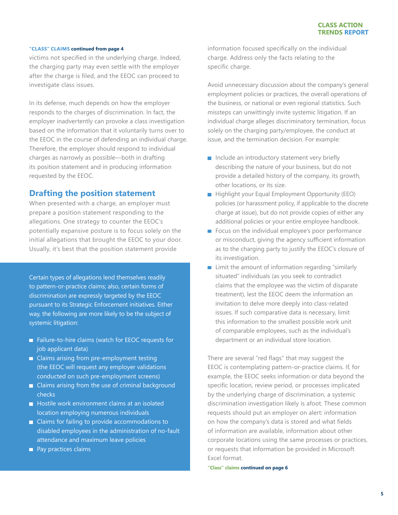victims not specified in the underlying charge. Indeed, the charging party may even settle with the employer after the charge is filed, and the EEOC can proceed to investigate class issues.

In its defense, much depends on how the employer responds to the charges of discrimination. In fact, the employer inadvertently can provoke a class investigation based on the information that it voluntarily turns over to the EEOC in the course of defending an individual charge. Therefore, the employer should respond to individual charges as narrowly as possible—both in drafting its position statement and in producing information requested by the EEOC.

#### **Drafting the position statement**

When presented with a charge, an employer must prepare a position statement responding to the allegations. One strategy to counter the EEOC's potentially expansive posture is to focus solely on the initial allegations that brought the EEOC to your door. Usually, it's best that the position statement provide

Certain types of allegations lend themselves readily to pattern-or-practice claims; also, certain forms of discrimination are expressly targeted by the EEOC pursuant to its Strategic Enforcement initiatives. Either way, the following are more likely to be the subject of systemic litigation:

- Failure-to-hire claims (watch for EEOC requests for job applicant data)
- Claims arising from pre-employment testing (the EEOC will request any employer validations conducted on such pre-employment screens)
- **Claims arising from the use of criminal background** checks
- $\blacksquare$  Hostile work environment claims at an isolated location employing numerous individuals
- Claims for failing to provide accommodations to disabled employees in the administration of no-fault attendance and maximum leave policies
- **Pay practices claims**

information focused specifically on the individual charge. Address only the facts relating to the specific charge.

Avoid unnecessary discussion about the company's general employment policies or practices, the overall operations of the business, or national or even regional statistics. Such missteps can unwittingly invite systemic litigation. If an individual charge alleges discriminatory termination, focus solely on the charging party/employee, the conduct at issue, and the termination decision. For example:

- $\blacksquare$  Include an introductory statement very briefly describing the nature of your business, but do not provide a detailed history of the company, its growth, other locations, or its size.
- **Highlight your Equal Employment Opportunity (EEO)** policies (or harassment policy, if applicable to the discrete charge at issue), but do not provide copies of either any additional policies or your entire employee handbook.
- Focus on the individual employee's poor performance or misconduct, giving the agency sufficient information as to the charging party to justify the EEOC's closure of its investigation.
- $\blacksquare$  Limit the amount of information regarding "similarly situated" individuals (as you seek to contradict claims that the employee was the victim of disparate treatment), lest the EEOC deem the information an invitation to delve more deeply into class-related issues. If such comparative data is necessary, limit this information to the smallest possible work unit of comparable employees, such as the individual's department or an individual store location.

There are several "red flags" that may suggest the EEOC is contemplating pattern-or-practice claims. If, for example, the EEOC seeks information or data beyond the specific location, review period, or processes implicated by the underlying charge of discrimination, a systemic discrimination investigation likely is afoot. These common requests should put an employer on alert: information on how the company's data is stored and what fields of information are available, information about other corporate locations using the same processes or practices, or requests that information be provided in Microsoft Excel format.

**"Class" claims continued on page 6**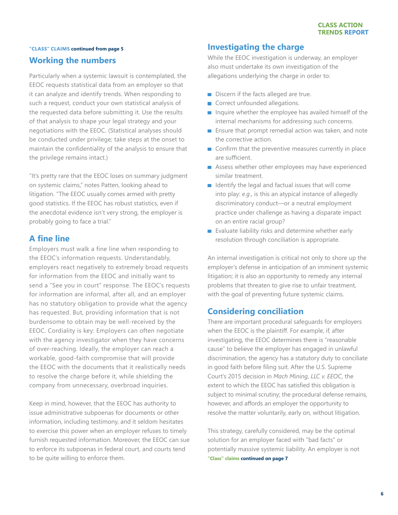### **Working the numbers "CLASS" CLAIMS continued from page 5**

Particularly when a systemic lawsuit is contemplated, the EEOC requests statistical data from an employer so that it can analyze and identify trends. When responding to such a request, conduct your own statistical analysis of the requested data before submitting it. Use the results of that analysis to shape your legal strategy and your negotiations with the EEOC. (Statistical analyses should be conducted under privilege; take steps at the onset to maintain the confidentiality of the analysis to ensure that the privilege remains intact.)

"It's pretty rare that the EEOC loses on summary judgment on systemic claims," notes Patten, looking ahead to litigation. "The EEOC usually comes armed with pretty good statistics. If the EEOC has robust statistics, even if the anecdotal evidence isn't very strong, the employer is probably going to face a trial."

## **A fine line**

Employers must walk a fine line when responding to the EEOC's information requests. Understandably, employers react negatively to extremely broad requests for information from the EEOC and initially want to send a "See you in court" response. The EEOC's requests for information are informal, after all, and an employer has no statutory obligation to provide what the agency has requested. But, providing information that is not burdensome to obtain may be well-received by the EEOC. Cordiality is key: Employers can often negotiate with the agency investigator when they have concerns of over-reaching. Ideally, the employer can reach a workable, good-faith compromise that will provide the EEOC with the documents that it realistically needs to resolve the charge before it, while shielding the company from unnecessary, overbroad inquiries.

Keep in mind, however, that the EEOC has authority to issue administrative subpoenas for documents or other information, including testimony, and it seldom hesitates to exercise this power when an employer refuses to timely furnish requested information. Moreover, the EEOC can sue to enforce its subpoenas in federal court, and courts tend to be quite willing to enforce them.

## **Investigating the charge**

While the EEOC investigation is underway, an employer also must undertake its own investigation of the allegations underlying the charge in order to:

- Discern if the facts alleged are true.
- Correct unfounded allegations.
- Inquire whether the employee has availed himself of the internal mechanisms for addressing such concerns.
- **Ensure that prompt remedial action was taken, and note** the corrective action.
- Confirm that the preventive measures currently in place are sufficient.
- **Assess whether other employees may have experienced** similar treatment.
- I Identify the legal and factual issues that will come into play: *e.g*., is this an atypical instance of allegedly discriminatory conduct—or a neutral employment practice under challenge as having a disparate impact on an entire racial group?
- Evaluate liability risks and determine whether early resolution through conciliation is appropriate.

An internal investigation is critical not only to shore up the employer's defense in anticipation of an imminent systemic litigation; it is also an opportunity to remedy any internal problems that threaten to give rise to unfair treatment, with the goal of preventing future systemic claims.

### **Considering conciliation**

There are important procedural safeguards for employers when the EEOC is the plaintiff. For example, if, after investigating, the EEOC determines there is "reasonable cause" to believe the employer has engaged in unlawful discrimination, the agency has a statutory duty to conciliate in good faith before filing suit. After the U.S. Supreme Court's 2015 decision in *Mach Mining, LLC v. EEOC*, the extent to which the EEOC has satisfied this obligation is subject to minimal scrutiny; the procedural defense remains, however, and affords an employer the opportunity to resolve the matter voluntarily, early on, without litigation.

This strategy, carefully considered, may be the optimal solution for an employer faced with "bad facts" or potentially massive systemic liability. An employer is not **"Class" claims continued on page 7**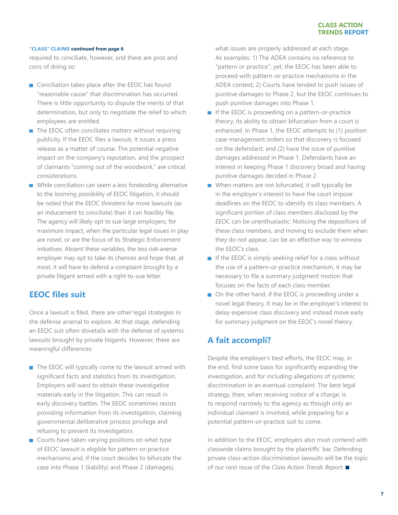required to conciliate, however, and there are pros and cons of doing so:

- Conciliation takes place after the EEOC has found "reasonable cause" that discrimination has occurred. There is little opportunity to dispute the merits of that determination, but only to negotiate the relief to which employees are entitled.
- $\blacksquare$  The EEOC often conciliates matters without requiring publicity. If the EEOC files a lawsuit, it issues a press release as a matter of course. The potential negative impact on the company's reputation, and the prospect of claimants "coming out of the woodwork," are critical considerations.
- While conciliation can seem a less foreboding alternative to the looming possibility of EEOC litigation, it should be noted that the EEOC *threatens* far more lawsuits (as an inducement to conciliate) than it can feasibly file. The agency will likely opt to sue large employers, for maximum impact, when the particular legal issues in play are novel, or are the focus of its Strategic Enforcement initiatives. Absent these variables, the less risk-averse employer may opt to take its chances and hope that, at most, it will have to defend a complaint brought by a private litigant armed with a right-to-sue letter.

### **EEOC files suit**

Once a lawsuit is filed, there are other legal strategies in the defense arsenal to explore. At that stage, defending an EEOC suit often dovetails with the defense of systemic lawsuits brought by private litigants. However, there are meaningful differences:

- $\blacksquare$  The EEOC will typically come to the lawsuit armed with significant facts and statistics from its investigation. Employers will want to obtain these investigative materials early in the litigation. This can result in early discovery battles. The EEOC sometimes resists providing information from its investigation, claiming governmental deliberative process privilege and refusing to present its investigators.
- Courts have taken varying positions on what type of EEOC lawsuit is eligible for pattern-or-practice mechanisms and, if the court decides to bifurcate the case into Phase 1 (liability) and Phase 2 (damages),

what issues are properly addressed at each stage. As examples: 1) The ADEA contains no reference to "pattern or practice"; yet, the EEOC has been able to proceed with pattern-or-practice mechanisms in the ADEA context; 2) Courts have tended to push issues of punitive damages to Phase 2, but the EEOC continues to push punitive damages into Phase 1.

- $\blacksquare$  If the EEOC is proceeding on a pattern-or-practice theory, its ability to obtain bifurcation from a court is enhanced. In Phase 1, the EEOC attempts to (1) position case management orders so that discovery is focused on the defendant; and (2) have the issue of punitive damages addressed in Phase 1. Defendants have an interest in keeping Phase 1 discovery broad and having punitive damages decided in Phase 2.
- When matters are not bifurcated, it will typically be in the employer's interest to have the court impose deadlines on the EEOC to identify its class members. A significant portion of class members disclosed by the EEOC can be unenthusiastic. Noticing the depositions of these class members, and moving to exclude them when they do not appear, can be an effective way to winnow the EEOC's class.
- $\blacksquare$  If the EEOC is simply seeking relief for a class without the use of a pattern-or-practice mechanism, it may be necessary to file a summary judgment motion that focuses on the facts of each class member.
- On the other hand, if the EEOC is proceeding under a novel legal theory, it may be in the employer's interest to delay expensive class discovery and instead move early for summary judgment on the EEOC's novel theory.

### **A fait accompli?**

Despite the employer's best efforts, the EEOC may, in the end, find some basis for significantly expanding the investigation, and for including allegations of systemic discrimination in an eventual complaint. The best legal strategy, then, when receiving notice of a charge, is to respond narrowly to the agency as though only an individual claimant is involved, while preparing for a potential pattern-or-practice suit to come.

In addition to the EEOC, employers also must contend with classwide claims brought by the plaintiffs' bar. Defending private class-action discrimination lawsuits will be the topic of our next issue of the *Class Action Trends Report*.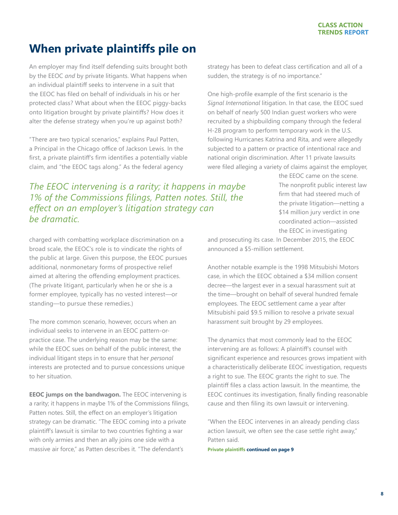## <span id="page-7-0"></span>**When private plaintiffs pile on**

An employer may find itself defending suits brought both by the EEOC *and* by private litigants. What happens when an individual plaintiff seeks to intervene in a suit that the EEOC has filed on behalf of individuals in his or her protected class? What about when the EEOC piggy-backs onto litigation brought by private plaintiffs? How does it alter the defense strategy when you're up against both?

"There are two typical scenarios," explains Paul Patten, a Principal in the Chicago office of Jackson Lewis. In the first, a private plaintiff's firm identifies a potentially viable claim, and "the EEOC tags along." As the federal agency

*The EEOC intervening is a rarity; it happens in maybe 1% of the Commissions filings, Patten notes. Still, the effect on an employer's litigation strategy can be dramatic.*

charged with combatting workplace discrimination on a broad scale, the EEOC's role is to vindicate the rights of the public at large. Given this purpose, the EEOC pursues additional, nonmonetary forms of prospective relief aimed at altering the offending employment practices. (The private litigant, particularly when he or she is a former employee, typically has no vested interest—or standing—to pursue these remedies.)

The more common scenario, however, occurs when an individual seeks to intervene in an EEOC pattern-orpractice case. The underlying reason may be the same: while the EEOC sues on behalf of the public interest, the individual litigant steps in to ensure that her *personal* interests are protected and to pursue concessions unique to her situation.

**EEOC jumps on the bandwagon.** The EEOC intervening is a rarity; it happens in maybe 1% of the Commissions filings, Patten notes. Still, the effect on an employer's litigation strategy can be dramatic. "The EEOC coming into a private plaintiff's lawsuit is similar to two countries fighting a war with only armies and then an ally joins one side with a massive air force," as Patten describes it. "The defendant's

strategy has been to defeat class certification and all of a sudden, the strategy is of no importance."

One high-profile example of the first scenario is the *Signal International* litigation. In that case, the EEOC sued on behalf of nearly 500 Indian guest workers who were recruited by a shipbuilding company through the federal H-2B program to perform temporary work in the U.S. following Hurricanes Katrina and Rita, and were allegedly subjected to a pattern or practice of intentional race and national origin discrimination. After 11 private lawsuits were filed alleging a variety of claims against the employer,

> the EEOC came on the scene. The nonprofit public interest law firm that had steered much of the private litigation—netting a \$14 million jury verdict in one coordinated action—assisted the EEOC in investigating

and prosecuting its case. In December 2015, the EEOC announced a \$5-million settlement.

Another notable example is the 1998 Mitsubishi Motors case, in which the EEOC obtained a \$34 million consent decree—the largest ever in a sexual harassment suit at the time—brought on behalf of several hundred female employees. The EEOC settlement came a year after Mitsubishi paid \$9.5 million to resolve a private sexual harassment suit brought by 29 employees.

The dynamics that most commonly lead to the EEOC intervening are as follows: A plaintiff's counsel with significant experience and resources grows impatient with a characteristically deliberate EEOC investigation, requests a right to sue. The EEOC grants the right to sue. The plaintiff files a class action lawsuit. In the meantime, the EEOC continues its investigation, finally finding reasonable cause and then filing its own lawsuit or intervening.

"When the EEOC intervenes in an already pending class action lawsuit, we often see the case settle right away," Patten said.

**Private plaintiffs continued on page 9**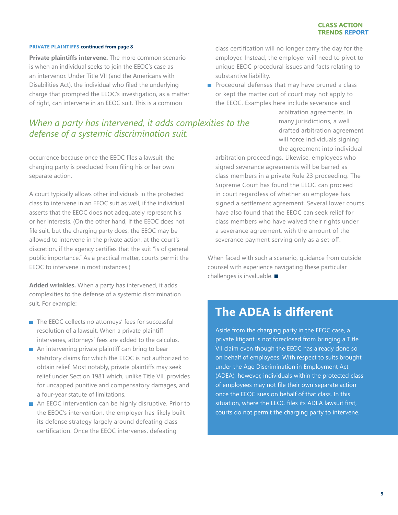#### **PRIVATE PLAINTIFFS continued from page 8**

**Private plaintiffs intervene.** The more common scenario is when an individual seeks to join the EEOC's case as an intervenor. Under Title VII (and the Americans with Disabilities Act), the individual who filed the underlying charge that prompted the EEOC's investigation, as a matter of right, can intervene in an EEOC suit. This is a common

## *When a party has intervened, it adds complexities to the defense of a systemic discrimination suit.*

occurrence because once the EEOC files a lawsuit, the charging party is precluded from filing his or her own separate action.

A court typically allows other individuals in the protected class to intervene in an EEOC suit as well, if the individual asserts that the EEOC does not adequately represent his or her interests. (On the other hand, if the EEOC does not file suit, but the charging party does, the EEOC may be allowed to intervene in the private action, at the court's discretion, if the agency certifies that the suit "is of general public importance." As a practical matter, courts permit the EEOC to intervene in most instances.)

**Added wrinkles.** When a party has intervened, it adds complexities to the defense of a systemic discrimination suit. For example:

- The EEOC collects no attorneys' fees for successful resolution of a lawsuit. When a private plaintiff intervenes, attorneys' fees are added to the calculus.
- An intervening private plaintiff can bring to bear statutory claims for which the EEOC is not authorized to obtain relief. Most notably, private plaintiffs may seek relief under Section 1981 which, unlike Title VII, provides for uncapped punitive and compensatory damages, and a four-year statute of limitations.
- An EEOC intervention can be highly disruptive. Prior to the EEOC's intervention, the employer has likely built its defense strategy largely around defeating class certification. Once the EEOC intervenes, defeating

class certification will no longer carry the day for the employer. Instead, the employer will need to pivot to unique EEOC procedural issues and facts relating to substantive liability.

 $\blacksquare$  Procedural defenses that may have pruned a class or kept the matter out of court may not apply to the EEOC. Examples here include severance and

> arbitration agreements. In many jurisdictions, a well drafted arbitration agreement will force individuals signing the agreement into individual

arbitration proceedings. Likewise, employees who signed severance agreements will be barred as class members in a private Rule 23 proceeding. The Supreme Court has found the EEOC can proceed in court regardless of whether an employee has signed a settlement agreement. Several lower courts have also found that the EEOC can seek relief for class members who have waived their rights under a severance agreement, with the amount of the severance payment serving only as a set-off.

When faced with such a scenario, guidance from outside counsel with experience navigating these particular challenges is invaluable.  $\blacksquare$ 

## **The ADEA is different**

Aside from the charging party in the EEOC case, a private litigant is not foreclosed from bringing a Title VII claim even though the EEOC has already done so on behalf of employees. With respect to suits brought under the Age Discrimination in Employment Act (ADEA), however, individuals within the protected class of employees may not file their own separate action once the EEOC sues on behalf of that class. In this situation, where the EEOC files its ADEA lawsuit first, courts do not permit the charging party to intervene.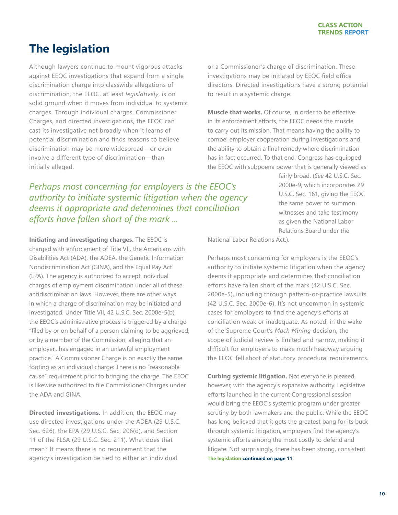## <span id="page-9-0"></span>**The legislation**

Although lawyers continue to mount vigorous attacks against EEOC investigations that expand from a single discrimination charge into classwide allegations of discrimination, the EEOC, at least *legislatively*, is on solid ground when it moves from individual to systemic charges. Through individual charges, Commissioner Charges, and directed investigations, the EEOC can cast its investigative net broadly when it learns of potential discrimination and finds reasons to believe discrimination may be more widespread—or even involve a different type of discrimination—than initially alleged.

*Perhaps most concerning for employers is the EEOC's authority to initiate systemic litigation when the agency deems it appropriate and determines that conciliation efforts have fallen short of the mark ...*

**Initiating and investigating charges.** The EEOC is charged with enforcement of Title VII, the Americans with Disabilities Act (ADA), the ADEA, the Genetic Information Nondiscrimination Act (GINA), and the Equal Pay Act (EPA). The agency is authorized to accept individual charges of employment discrimination under all of these antidiscrimination laws. However, there are other ways in which a charge of discrimination may be initiated and investigated. Under Title VII, 42 U.S.C. Sec. 2000e-5(b), the EEOC's administrative process is triggered by a charge "filed by or on behalf of a person claiming to be aggrieved, or by a member of the Commission, alleging that an employer…has engaged in an unlawful employment practice." A Commissioner Charge is on exactly the same footing as an individual charge: There is no "reasonable cause" requirement prior to bringing the charge. The EEOC is likewise authorized to file Commissioner Charges under the ADA and GINA.

**Directed investigations.** In addition, the EEOC may use directed investigations under the ADEA (29 U.S.C. Sec. 626), the EPA (29 U.S.C. Sec. 206(d), and Section 11 of the FLSA (29 U.S.C. Sec. 211). What does that mean? It means there is no requirement that the agency's investigation be tied to either an individual

or a Commissioner's charge of discrimination. These investigations may be initiated by EEOC field office directors. Directed investigations have a strong potential to result in a systemic charge.

**Muscle that works.** Of course, in order to be effective in its enforcement efforts, the EEOC needs the muscle to carry out its mission. That means having the ability to compel employer cooperation during investigations and the ability to obtain a final remedy where discrimination has in fact occurred. To that end, Congress has equipped the EEOC with subpoena power that is generally viewed as

> fairly broad. (*See* 42 U.S.C. Sec. 2000e-9, which incorporates 29 U.S.C. Sec. 161, giving the EEOC the same power to summon witnesses and take testimony as given the National Labor Relations Board under the

National Labor Relations Act.).

Perhaps most concerning for employers is the EEOC's authority to initiate systemic litigation when the agency deems it appropriate and determines that conciliation efforts have fallen short of the mark (42 U.S.C. Sec. 2000e-5), including through pattern-or-practice lawsuits (42 U.S.C. Sec. 2000e-6). It's not uncommon in systemic cases for employers to find the agency's efforts at conciliation weak or inadequate. As noted, in the wake of the Supreme Court's *Mach Mining* decision, the scope of judicial review is limited and narrow, making it difficult for employers to make much headway arguing the EEOC fell short of statutory procedural requirements.

**Curbing systemic litigation.** Not everyone is pleased, however, with the agency's expansive authority. Legislative efforts launched in the current Congressional session would bring the EEOC's systemic program under greater scrutiny by both lawmakers and the public. While the EEOC has long believed that it gets the greatest bang for its buck through systemic litigation, employers find the agency's systemic efforts among the most costly to defend and litigate. Not surprisingly, there has been strong, consistent **The legislation continued on page 11**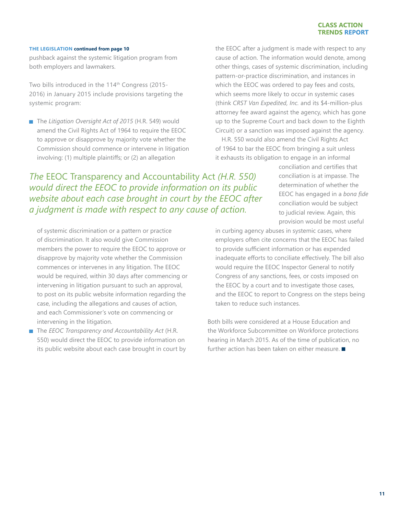#### **CLASS ACTION TRENDS REPORT**

#### **THE LEGISLATION continued from page 10**

pushback against the systemic litigation program from both employers and lawmakers.

Two bills introduced in the 114<sup>th</sup> Congress (2015-2016) in January 2015 include provisions targeting the systemic program:

■ The *Litigation Oversight Act of 2015* (H.R. 549) would amend the Civil Rights Act of 1964 to require the EEOC to approve or disapprove by majority vote whether the Commission should commence or intervene in litigation involving: (1) multiple plaintiffs; or (2) an allegation

the EEOC after a judgment is made with respect to any cause of action. The information would denote, among other things, cases of systemic discrimination, including pattern-or-practice discrimination, and instances in which the EEOC was ordered to pay fees and costs, which seems more likely to occur in systemic cases (think *CRST Van Expedited, Inc.* and its \$4-million-plus attorney fee award against the agency, which has gone up to the Supreme Court and back down to the Eighth Circuit) or a sanction was imposed against the agency.

H.R. 550 would also amend the Civil Rights Act of 1964 to bar the EEOC from bringing a suit unless it exhausts its obligation to engage in an informal

*The* EEOC Transparency and Accountability Act *(H.R. 550) would direct the EEOC to provide information on its public website about each case brought in court by the EEOC after a judgment is made with respect to any cause of action.* 

of systemic discrimination or a pattern or practice of discrimination. It also would give Commission members the power to require the EEOC to approve or disapprove by majority vote whether the Commission commences or intervenes in any litigation. The EEOC would be required, within 30 days after commencing or intervening in litigation pursuant to such an approval, to post on its public website information regarding the case, including the allegations and causes of action, and each Commissioner's vote on commencing or intervening in the litigation.

■ The *EEOC Transparency and Accountability Act* (H.R. 550) would direct the EEOC to provide information on its public website about each case brought in court by conciliation and certifies that conciliation is at impasse. The determination of whether the EEOC has engaged in a *bona fide* conciliation would be subject to judicial review. Again, this provision would be most useful

in curbing agency abuses in systemic cases, where employers often cite concerns that the EEOC has failed to provide sufficient information or has expended inadequate efforts to conciliate effectively. The bill also would require the EEOC Inspector General to notify Congress of any sanctions, fees, or costs imposed on the EEOC by a court and to investigate those cases, and the EEOC to report to Congress on the steps being taken to reduce such instances.

Both bills were considered at a House Education and the Workforce Subcommittee on Workforce protections hearing in March 2015. As of the time of publication, no further action has been taken on either measure.  $\blacksquare$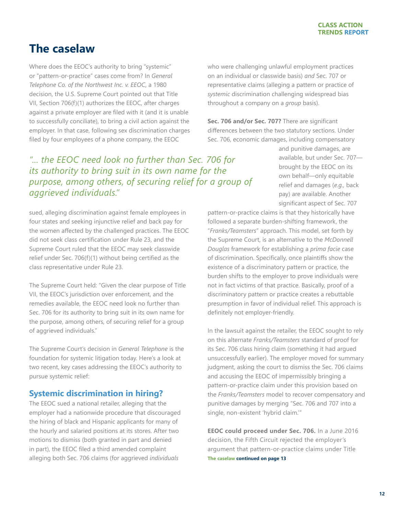## <span id="page-11-0"></span>**The caselaw**

Where does the EEOC's authority to bring "systemic" or "pattern-or-practice" cases come from? In *General Telephone Co. of the Northwest Inc. v. EEOC*, a 1980 decision, the U.S. Supreme Court pointed out that Title VII, Section 706(f)(1) authorizes the EEOC, after charges against a private employer are filed with it (and it is unable to successfully conciliate), to bring a civil action against the employer. In that case, following sex discrimination charges filed by four employees of a phone company, the EEOC

## *"... the EEOC need look no further than Sec. 706 for its authority to bring suit in its own name for the purpose, among others, of securing relief for a group of aggrieved individuals."*

sued, alleging discrimination against female employees in four states and seeking injunctive relief and back pay for the women affected by the challenged practices. The EEOC did not seek class certification under Rule 23, and the Supreme Court ruled that the EEOC may seek classwide relief under Sec. 706(f)(1) without being certified as the class representative under Rule 23.

The Supreme Court held: "Given the clear purpose of Title VII, the EEOC's jurisdiction over enforcement, and the remedies available, the EEOC need look no further than Sec. 706 for its authority to bring suit in its own name for the purpose, among others, of securing relief for a group of aggrieved individuals."

The Supreme Court's decision in *General Telephone* is the foundation for systemic litigation today. Here's a look at two recent, key cases addressing the EEOC's authority to pursue systemic relief:

### **Systemic discrimination in hiring?**

The EEOC sued a national retailer, alleging that the employer had a nationwide procedure that discouraged the hiring of black and Hispanic applicants for many of the hourly and salaried positions at its stores. After two motions to dismiss (both granted in part and denied in part), the EEOC filed a third amended complaint alleging both Sec. 706 claims (for aggrieved *individuals*

who were challenging unlawful employment practices on an individual or classwide basis) *and* Sec. 707 or representative claims (alleging a pattern or practice of *systemic* discrimination challenging widespread bias throughout a company on a *group* basis).

**Sec. 706 and/or Sec. 707?** There are significant differences between the two statutory sections. Under Sec. 706, economic damages, including compensatory

> and punitive damages, are available, but under Sec. 707 brought by the EEOC on its own behalf—only equitable relief and damages (*e.g.,* back pay) are available. Another significant aspect of Sec. 707

pattern-or-practice claims is that they historically have followed a separate burden-shifting framework, the "*Franks/Teamsters*" approach. This model, set forth by the Supreme Court, is an alternative to the *McDonnell Douglas* framework for establishing a *prima facie* case of discrimination. Specifically, once plaintiffs show the existence of a discriminatory pattern or practice, the burden shifts to the employer to prove individuals were not in fact victims of that practice. Basically, proof of a discriminatory pattern or practice creates a rebuttable presumption in favor of individual relief. This approach is definitely not employer-friendly.

In the lawsuit against the retailer, the EEOC sought to rely on this alternate *Franks/Teamsters* standard of proof for its Sec. 706 class hiring claim (something it had argued unsuccessfully earlier). The employer moved for summary judgment, asking the court to dismiss the Sec. 706 claims and accusing the EEOC of impermissibly bringing a pattern-or-practice claim under this provision based on the *Franks/Teamsters* model to recover compensatory and punitive damages by merging "Sec. 706 and 707 into a single, non-existent 'hybrid claim.'"

**EEOC could proceed under Sec. 706.** In a June 2016 decision, the Fifth Circuit rejected the employer's argument that pattern-or-practice claims under Title **The caselaw continued on page 13**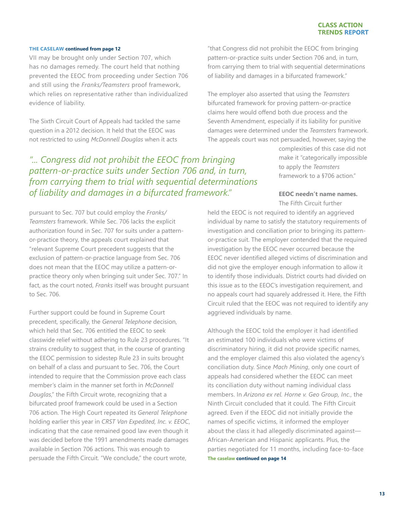#### **THE CASELAW continued from page 12**

VII may be brought only under Section 707, which has no damages remedy. The court held that nothing prevented the EEOC from proceeding under Section 706 and still using the *Franks/Teamsters* proof framework, which relies on representative rather than individualized evidence of liability.

The Sixth Circuit Court of Appeals had tackled the same question in a 2012 decision. It held that the EEOC was not restricted to using *McDonnell Douglas* when it acts

*"... Congress did not prohibit the EEOC from bringing pattern-or-practice suits under Section 706 and, in turn, from carrying them to trial with sequential determinations of liability and damages in a bifurcated framework."* 

pursuant to Sec. 707 but could employ the *Franks/ Teamsters* framework. While Sec. 706 lacks the explicit authorization found in Sec. 707 for suits under a patternor-practice theory, the appeals court explained that "relevant Supreme Court precedent suggests that the exclusion of pattern-or-practice language from Sec. 706 does not mean that the EEOC may utilize a pattern-orpractice theory only when bringing suit under Sec. 707." In fact, as the court noted, *Franks* itself was brought pursuant to Sec. 706.

Further support could be found in Supreme Court precedent, specifically, the *General Telephone* decision, which held that Sec. 706 entitled the EEOC to seek classwide relief without adhering to Rule 23 procedures. "It strains credulity to suggest that, in the course of granting the EEOC permission to sidestep Rule 23 in suits brought on behalf of a class and pursuant to Sec. 706, the Court intended to require that the Commission prove each class member's claim in the manner set forth in *McDonnell Douglas*," the Fifth Circuit wrote, recognizing that a bifurcated proof framework could be used in a Section 706 action. The High Court repeated its *General Telephone* holding earlier this year in *CRST Van Expedited, Inc. v. EEOC*, indicating that the case remained good law even though it was decided before the 1991 amendments made damages available in Section 706 actions. This was enough to persuade the Fifth Circuit. "We conclude," the court wrote,

"that Congress did not prohibit the EEOC from bringing pattern-or-practice suits under Section 706 and, in turn, from carrying them to trial with sequential determinations of liability and damages in a bifurcated framework."

The employer also asserted that using the *Teamsters* bifurcated framework for proving pattern-or-practice claims here would offend both due process and the Seventh Amendment, especially if its liability for punitive damages were determined under the *Teamsters* framework. The appeals court was not persuaded, however, saying the

> complexities of this case did not make it "categorically impossible to apply the *Teamsters*  framework to a §706 action."

#### **EEOC needn't name names.** The Fifth Circuit further

held the EEOC is not required to identify an aggrieved individual by name to satisfy the statutory requirements of investigation and conciliation prior to bringing its patternor-practice suit. The employer contended that the required investigation by the EEOC never occurred because the EEOC never identified alleged victims of discrimination and did not give the employer enough information to allow it to identify those individuals. District courts had divided on this issue as to the EEOC's investigation requirement, and no appeals court had squarely addressed it. Here, the Fifth Circuit ruled that the EEOC was not required to identify any aggrieved individuals by name.

Although the EEOC told the employer it had identified an estimated 100 individuals who were victims of discriminatory hiring, it did not provide specific names, and the employer claimed this also violated the agency's conciliation duty. Since *Mach Mining*, only one court of appeals had considered whether the EEOC can meet its conciliation duty without naming individual class members. In *Arizona ex rel. Horne v. Geo Group, Inc.*, the Ninth Circuit concluded that it could. The Fifth Circuit agreed. Even if the EEOC did not initially provide the names of specific victims, it informed the employer about the class it had allegedly discriminated against— African-American and Hispanic applicants. Plus, the parties negotiated for 11 months, including face-to-face **The caselaw continued on page 14**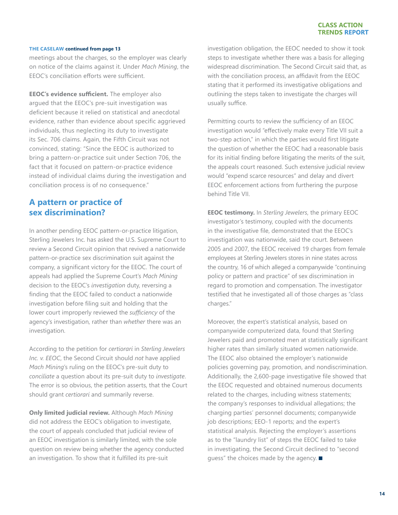#### **CLASS ACTION TRENDS REPORT**

#### **THE CASELAW continued from page 13**

meetings about the charges, so the employer was clearly on notice of the claims against it. Under *Mach Mining*, the EEOC's conciliation efforts were sufficient.

**EEOC's evidence sufficient.** The employer also argued that the EEOC's pre-suit investigation was deficient because it relied on statistical and anecdotal evidence, rather than evidence about specific aggrieved individuals, thus neglecting its duty to investigate its Sec. 706 claims. Again, the Fifth Circuit was not convinced, stating: "Since the EEOC is authorized to bring a pattern-or-practice suit under Section 706, the fact that it focused on pattern-or-practice evidence instead of individual claims during the investigation and conciliation process is of no consequence."

### **A pattern or practice of sex discrimination?**

In another pending EEOC pattern-or-practice litigation, Sterling Jewelers Inc. has asked the U.S. Supreme Court to review a Second Circuit opinion that revived a nationwide pattern-or-practice sex discrimination suit against the company, a significant victory for the EEOC. The court of appeals had applied the Supreme Court's *Mach Mining* decision to the EEOC's *investigation* duty, reversing a finding that the EEOC failed to conduct a nationwide investigation before filing suit and holding that the lower court improperly reviewed the *sufficiency* of the agency's investigation, rather than *whether* there was an investigation.

According to the petition for *certiorari* in *Sterling Jewelers Inc. v. EEOC*, the Second Circuit should *not* have applied *Mach Mining*'s ruling on the EEOC's pre-suit duty to *conciliate* a question about its pre-suit duty to *investigate*. The error is so obvious, the petition asserts, that the Court should grant *certiorari* and summarily reverse.

**Only limited judicial review.** Although *Mach Mining*  did not address the EEOC's obligation to investigate, the court of appeals concluded that judicial review of an EEOC investigation is similarly limited, with the sole question on review being whether the agency conducted an investigation. To show that it fulfilled its pre-suit

investigation obligation, the EEOC needed to show it took steps to investigate whether there was a basis for alleging widespread discrimination. The Second Circuit said that, as with the conciliation process, an affidavit from the EEOC stating that it performed its investigative obligations and outlining the steps taken to investigate the charges will usually suffice.

Permitting courts to review the sufficiency of an EEOC investigation would "effectively make every Title VII suit a two-step action," in which the parties would first litigate the question of whether the EEOC had a reasonable basis for its initial finding before litigating the merits of the suit, the appeals court reasoned. Such extensive judicial review would "expend scarce resources" and delay and divert EEOC enforcement actions from furthering the purpose behind Title VII.

**EEOC testimony.** In *Sterling Jewelers*, the primary EEOC investigator's testimony, coupled with the documents in the investigative file, demonstrated that the EEOC's investigation was nationwide, said the court. Between 2005 and 2007, the EEOC received 19 charges from female employees at Sterling Jewelers stores in nine states across the country, 16 of which alleged a companywide "continuing policy or pattern and practice" of sex discrimination in regard to promotion and compensation. The investigator testified that he investigated all of those charges as "class charges."

Moreover, the expert's statistical analysis, based on companywide computerized data, found that Sterling Jewelers paid and promoted men at statistically significant higher rates than similarly situated women nationwide. The EEOC also obtained the employer's nationwide policies governing pay, promotion, and nondiscrimination. Additionally, the 2,600-page investigative file showed that the EEOC requested and obtained numerous documents related to the charges, including witness statements; the company's responses to individual allegations; the charging parties' personnel documents; companywide job descriptions; EEO-1 reports; and the expert's statistical analysis. Rejecting the employer's assertions as to the "laundry list" of steps the EEOC failed to take in investigating, the Second Circuit declined to "second quess" the choices made by the agency.  $\blacksquare$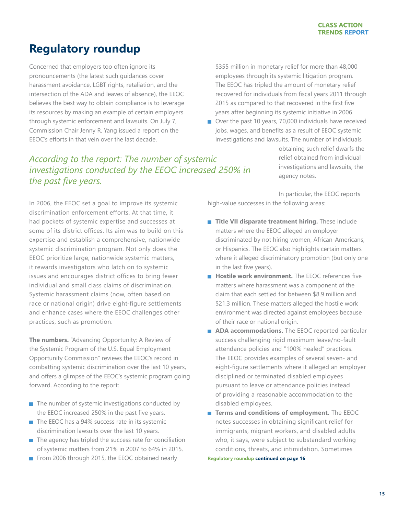## <span id="page-14-0"></span>**Regulatory roundup**

Concerned that employers too often ignore its pronouncements (the latest such guidances cover harassment avoidance, LGBT rights, retaliation, and the intersection of the ADA and leaves of absence), the EEOC believes the best way to obtain compliance is to leverage its resources by making an example of certain employers through systemic enforcement and lawsuits. On July 7, Commission Chair Jenny R. Yang issued a report on the EEOC's efforts in that vein over the last decade.

\$355 million in monetary relief for more than 48,000 employees through its systemic litigation program. The EEOC has tripled the amount of monetary relief recovered for individuals from fiscal years 2011 through 2015 as compared to that recovered in the first five years after beginning its systemic initiative in 2006.

■ Over the past 10 years, 70,000 individuals have received jobs, wages, and benefits as a result of EEOC systemic investigations and lawsuits. The number of individuals

## *According to the report: The number of systemic investigations conducted by the EEOC increased 250% in the past five years.*

obtaining such relief dwarfs the relief obtained from individual investigations and lawsuits, the agency notes.

In 2006, the EEOC set a goal to improve its systemic discrimination enforcement efforts. At that time, it had pockets of systemic expertise and successes at some of its district offices. Its aim was to build on this expertise and establish a comprehensive, nationwide systemic discrimination program. Not only does the EEOC prioritize large, nationwide systemic matters, it rewards investigators who latch on to systemic issues and encourages district offices to bring fewer individual and small class claims of discrimination. Systemic harassment claims (now, often based on race or national origin) drive eight-figure settlements and enhance cases where the EEOC challenges other practices, such as promotion.

**The numbers.** "Advancing Opportunity: A Review of the Systemic Program of the U.S. Equal Employment Opportunity Commission" reviews the EEOC's record in combatting systemic discrimination over the last 10 years, and offers a glimpse of the EEOC's systemic program going forward. According to the report:

- $\blacksquare$  The number of systemic investigations conducted by the EEOC increased 250% in the past five years.
- $\blacksquare$  The EEOC has a 94% success rate in its systemic discrimination lawsuits over the last 10 years.
- The agency has tripled the success rate for conciliation m, of systemic matters from 21% in 2007 to 64% in 2015.
- From 2006 through 2015, the EEOC obtained nearly

In particular, the EEOC reports high-value successes in the following areas:

- **Title VII disparate treatment hiring.** These include matters where the EEOC alleged an employer discriminated by not hiring women, African-Americans, or Hispanics. The EEOC also highlights certain matters where it alleged discriminatory promotion (but only one in the last five years).
- **Hostile work environment.** The EEOC references five matters where harassment was a component of the claim that each settled for between \$8.9 million and \$21.3 million. These matters alleged the hostile work environment was directed against employees because of their race or national origin.
- **ADA accommodations.** The EEOC reported particular success challenging rigid maximum leave/no-fault attendance policies and "100% healed" practices. The EEOC provides examples of several seven- and eight-figure settlements where it alleged an employer disciplined or terminated disabled employees pursuant to leave or attendance policies instead of providing a reasonable accommodation to the disabled employees.
- **Terms and conditions of employment.** The EEOC notes successes in obtaining significant relief for immigrants, migrant workers, and disabled adults who, it says, were subject to substandard working conditions, threats, and intimidation. Sometimes

**Regulatory roundup continued on page 16**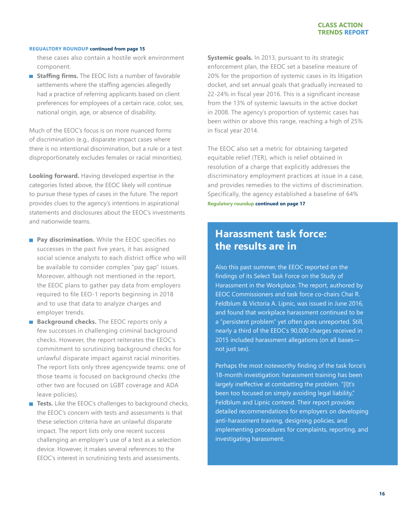#### **REGUALTORY ROUNDUP continued from page 15**

these cases also contain a hostile work environment component.

**Staffing firms.** The EEOC lists a number of favorable settlements where the staffing agencies allegedly had a practice of referring applicants based on client preferences for employees of a certain race, color, sex, national origin, age, or absence of disability.

Much of the EEOC's focus is on more nuanced forms of discrimination (e.g., disparate impact cases where there is no intentional discrimination, but a rule or a test disproportionately excludes females or racial minorities).

**Looking forward.** Having developed expertise in the categories listed above, the EEOC likely will continue to pursue these types of cases in the future. The report provides clues to the agency's intentions in aspirational statements and disclosures about the EEOC's investments and nationwide teams.

- **Pay discrimination.** While the EEOC specifies no successes in the past five years, it has assigned social science analysts to each district office who will be available to consider complex "pay gap" issues. Moreover, although not mentioned in the report, the EEOC plans to gather pay data from employers required to file EEO-1 reports beginning in 2018 and to use that data to analyze charges and employer trends.
- **Background checks.** The EEOC reports only a few successes in challenging criminal background checks. However, the report reiterates the EEOC's commitment to scrutinizing background checks for unlawful disparate impact against racial minorities. The report lists only three agencywide teams: one of those teams is focused on background checks (the other two are focused on LGBT coverage and ADA leave policies).
- **Tests.** Like the EEOC's challenges to background checks, the EEOC's concern with tests and assessments is that these selection criteria have an unlawful disparate impact. The report lists only one recent success challenging an employer's use of a test as a selection device. However, it makes several references to the EEOC's interest in scrutinizing tests and assessments.

**Systemic goals.** In 2013, pursuant to its strategic enforcement plan, the EEOC set a baseline measure of 20% for the proportion of systemic cases in its litigation docket, and set annual goals that gradually increased to 22-24% in fiscal year 2016. This is a significant increase from the 13% of systemic lawsuits in the active docket in 2008. The agency's proportion of systemic cases has been within or above this range, reaching a high of 25% in fiscal year 2014.

The EEOC also set a metric for obtaining targeted equitable relief (TER), which is relief obtained in resolution of a charge that explicitly addresses the discriminatory employment practices at issue in a case, and provides remedies to the victims of discrimination. Specifically, the agency established a baseline of 64% **Regulatory roundup continued on page 17**

## **Harassment task force: the results are in**

Also this past summer, the EEOC reported on the findings of its Select Task Force on the Study of Harassment in the Workplace. The report, authored by EEOC Commissioners and task force co-chairs Chai R. Feldblum & Victoria A. Lipnic, was issued in June 2016, and found that workplace harassment continued to be a "persistent problem" yet often goes unreported. Still, nearly a third of the EEOC's 90,000 charges received in 2015 included harassment allegations (on all bases not just sex).

Perhaps the most noteworthy finding of the task force's 18-month investigation: harassment training has been largely ineffective at combatting the problem. "[I]t's been too focused on simply avoiding legal liability," Feldblum and Lipnic contend. Their report provides detailed recommendations for employers on developing anti-harassment training, designing policies, and implementing procedures for complaints, reporting, and investigating harassment.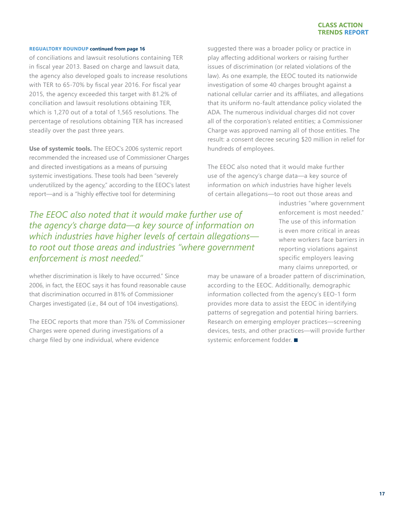#### **CLASS ACTION TRENDS REPORT**

#### **REGUALTORY ROUNDUP continued from page 16**

of conciliations and lawsuit resolutions containing TER in fiscal year 2013. Based on charge and lawsuit data, the agency also developed goals to increase resolutions with TER to 65-70% by fiscal year 2016. For fiscal year 2015, the agency exceeded this target with 81.2% of conciliation and lawsuit resolutions obtaining TER, which is 1,270 out of a total of 1,565 resolutions. The percentage of resolutions obtaining TER has increased steadily over the past three years.

**Use of systemic tools.** The EEOC's 2006 systemic report recommended the increased use of Commissioner Charges and directed investigations as a means of pursuing systemic investigations. These tools had been "severely underutilized by the agency," according to the EEOC's latest report—and is a "highly effective tool for determining

suggested there was a broader policy or practice in play affecting additional workers or raising further issues of discrimination (or related violations of the law). As one example, the EEOC touted its nationwide investigation of some 40 charges brought against a national cellular carrier and its affiliates, and allegations that its uniform no-fault attendance policy violated the ADA. The numerous individual charges did not cover all of the corporation's related entities; a Commissioner Charge was approved naming all of those entities. The result: a consent decree securing \$20 million in relief for hundreds of employees.

The EEOC also noted that it would make further use of the agency's charge data—a key source of information on *which* industries have higher levels of certain allegations—to root out those areas and

*The EEOC also noted that it would make further use of the agency's charge data—a key source of information on which industries have higher levels of certain allegations to root out those areas and industries "where government enforcement is most needed."* 

whether discrimination is likely to have occurred." Since 2006, in fact, the EEOC says it has found reasonable cause that discrimination occurred in 81% of Commissioner Charges investigated (*i.e.*, 84 out of 104 investigations).

The EEOC reports that more than 75% of Commissioner Charges were opened during investigations of a charge filed by one individual, where evidence

industries "where government enforcement is most needed." The use of this information is even more critical in areas where workers face barriers in reporting violations against specific employers leaving many claims unreported, or

may be unaware of a broader pattern of discrimination, according to the EEOC. Additionally, demographic information collected from the agency's EEO-1 form provides more data to assist the EEOC in identifying patterns of segregation and potential hiring barriers. Research on emerging employer practices—screening devices, tests, and other practices—will provide further systemic enforcement fodder.  $\blacksquare$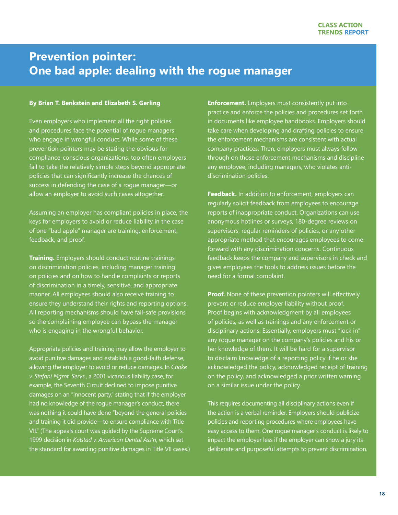## <span id="page-17-0"></span>**Prevention pointer: One bad apple: dealing with the rogue manager**

#### **By Brian T. Benkstein and Elizabeth S. Gerling**

Even employers who implement all the right policies and procedures face the potential of rogue managers who engage in wrongful conduct. While some of these prevention pointers may be stating the obvious for compliance-conscious organizations, too often employers fail to take the relatively simple steps beyond appropriate policies that can significantly increase the chances of success in defending the case of a rogue manager—or allow an employer to avoid such cases altogether.

Assuming an employer has compliant policies in place, the keys for employers to avoid or reduce liability in the case of one "bad apple" manager are training, enforcement, feedback, and proof.

**Training.** Employers should conduct routine trainings on discrimination policies, including manager training on policies and on how to handle complaints or reports of discrimination in a timely, sensitive, and appropriate manner. All employees should also receive training to ensure they understand their rights and reporting options. All reporting mechanisms should have fail-safe provisions so the complaining employee can bypass the manager who is engaging in the wrongful behavior.

Appropriate policies and training may allow the employer to avoid punitive damages and establish a good-faith defense, allowing the employer to avoid or reduce damages. In *Cooke v. Stefani Mgmt. Servs.*, a 2001 vicarious liability case, for example, the Seventh Circuit declined to impose punitive damages on an "innocent party," stating that if the employer had no knowledge of the rogue manager's conduct, there was nothing it could have done "beyond the general policies and training it did provide—to ensure compliance with Title VII." (The appeals court was guided by the Supreme Court's 1999 decision in *Kolstad v. American Dental Ass'n*, which set the standard for awarding punitive damages in Title VII cases.)

**Enforcement.** Employers must consistently put into practice and enforce the policies and procedures set forth in documents like employee handbooks. Employers should take care when developing and drafting policies to ensure the enforcement mechanisms are consistent with actual company practices. Then, employers must always follow through on those enforcement mechanisms and discipline any employee, including managers, who violates antidiscrimination policies.

**Feedback.** In addition to enforcement, employers can regularly solicit feedback from employees to encourage reports of inappropriate conduct. Organizations can use anonymous hotlines or surveys, 180-degree reviews on supervisors, regular reminders of policies, or any other appropriate method that encourages employees to come forward with any discrimination concerns. Continuous feedback keeps the company and supervisors in check and gives employees the tools to address issues before the need for a formal complaint.

**Proof.** None of these prevention pointers will effectively prevent or reduce employer liability without proof. Proof begins with acknowledgment by all employees of policies, as well as trainings and any enforcement or disciplinary actions. Essentially, employers must "lock in" any rogue manager on the company's policies and his or her knowledge of them. It will be hard for a supervisor to disclaim knowledge of a reporting policy if he or she acknowledged the policy, acknowledged receipt of training on the policy, and acknowledged a prior written warning on a similar issue under the policy.

This requires documenting all disciplinary actions even if the action is a verbal reminder. Employers should publicize policies and reporting procedures where employees have easy access to them. One rogue manager's conduct is likely to impact the employer less if the employer can show a jury its deliberate and purposeful attempts to prevent discrimination.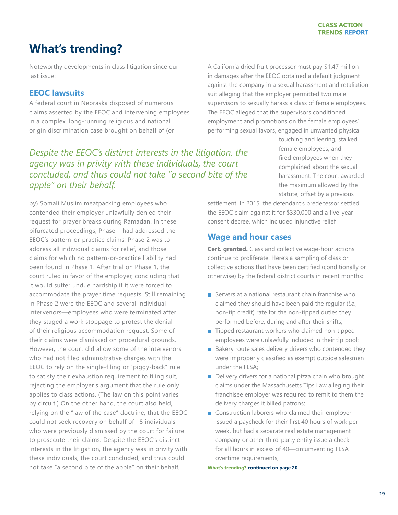#### **CLASS ACTION TRENDS REPORT**

## <span id="page-18-0"></span>**What's trending?**

Noteworthy developments in class litigation since our last issue:

### **EEOC lawsuits**

A federal court in Nebraska disposed of numerous claims asserted by the EEOC and intervening employees in a complex, long-running religious and national origin discrimination case brought on behalf of (or

*Despite the EEOC's distinct interests in the litigation, the agency was in privity with these individuals, the court concluded, and thus could not take "a second bite of the apple" on their behalf.* 

by) Somali Muslim meatpacking employees who contended their employer unlawfully denied their request for prayer breaks during Ramadan. In these bifurcated proceedings, Phase 1 had addressed the EEOC's pattern-or-practice claims; Phase 2 was to address all individual claims for relief, and those claims for which no pattern-or-practice liability had been found in Phase 1. After trial on Phase 1, the court ruled in favor of the employer, concluding that it would suffer undue hardship if it were forced to accommodate the prayer time requests. Still remaining in Phase 2 were the EEOC and several individual intervenors—employees who were terminated after they staged a work stoppage to protest the denial of their religious accommodation request. Some of their claims were dismissed on procedural grounds. However, the court did allow some of the intervenors who had not filed administrative charges with the EEOC to rely on the single-filing or "piggy-back" rule to satisfy their exhaustion requirement to filing suit, rejecting the employer's argument that the rule only applies to class actions. (The law on this point varies by circuit.) On the other hand, the court also held, relying on the "law of the case" doctrine, that the EEOC could not seek recovery on behalf of 18 individuals who were previously dismissed by the court for failure to prosecute their claims. Despite the EEOC's distinct interests in the litigation, the agency was in privity with these individuals, the court concluded, and thus could not take "a second bite of the apple" on their behalf.

A California dried fruit processor must pay \$1.47 million in damages after the EEOC obtained a default judgment against the company in a sexual harassment and retaliation suit alleging that the employer permitted two male supervisors to sexually harass a class of female employees. The EEOC alleged that the supervisors conditioned employment and promotions on the female employees' performing sexual favors, engaged in unwanted physical

> touching and leering, stalked female employees, and fired employees when they complained about the sexual harassment. The court awarded the maximum allowed by the statute, offset by a previous

settlement. In 2015, the defendant's predecessor settled the EEOC claim against it for \$330,000 and a five-year consent decree, which included injunctive relief.

### **Wage and hour cases**

**Cert. granted.** Class and collective wage-hour actions continue to proliferate. Here's a sampling of class or collective actions that have been certified (conditionally or otherwise) by the federal district courts in recent months:

- $\blacksquare$  Servers at a national restaurant chain franchise who claimed they should have been paid the regular (*i.e*., non-tip credit) rate for the non-tipped duties they performed before, during and after their shifts;
- $\blacksquare$  Tipped restaurant workers who claimed non-tipped employees were unlawfully included in their tip pool;
- $\blacksquare$  Bakery route sales delivery drivers who contended they were improperly classified as exempt outside salesmen under the FLSA;
- Delivery drivers for a national pizza chain who brought claims under the Massachusetts Tips Law alleging their franchisee employer was required to remit to them the delivery charges it billed patrons;
- Construction laborers who claimed their employer issued a paycheck for their first 40 hours of work per week, but had a separate real estate management company or other third-party entity issue a check for all hours in excess of 40—circumventing FLSA overtime requirements;

**What's trending? continued on page 20**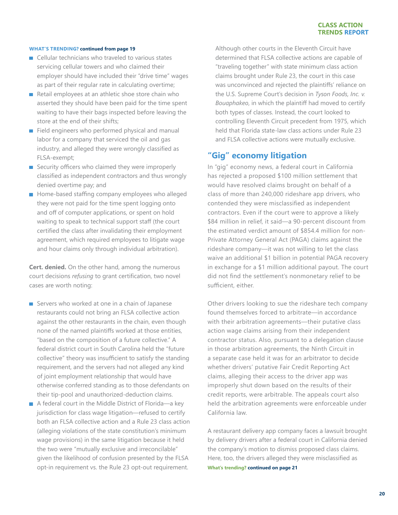#### **WHAT'S TRENDING? continued from page 19**

- Cellular technicians who traveled to various states servicing cellular towers and who claimed their employer should have included their "drive time" wages as part of their regular rate in calculating overtime;
- Retail employees at an athletic shoe store chain who asserted they should have been paid for the time spent waiting to have their bags inspected before leaving the store at the end of their shifts;
- Field engineers who performed physical and manual labor for a company that serviced the oil and gas industry, and alleged they were wrongly classified as FLSA-exempt;
- Security officers who claimed they were improperly classified as independent contractors and thus wrongly denied overtime pay; and
- **Home-based staffing company employees who alleged** they were not paid for the time spent logging onto and off of computer applications, or spent on hold waiting to speak to technical support staff (the court certified the class after invalidating their employment agreement, which required employees to litigate wage and hour claims only through individual arbitration).

**Cert. denied.** On the other hand, among the numerous court decisions *refusing* to grant certification, two novel cases are worth noting:

- Servers who worked at one in a chain of Japanese restaurants could not bring an FLSA collective action against the other restaurants in the chain, even though none of the named plaintiffs worked at those entities, "based on the composition of a future collective." A federal district court in South Carolina held the "future collective" theory was insufficient to satisfy the standing requirement, and the servers had not alleged any kind of joint employment relationship that would have otherwise conferred standing as to those defendants on their tip-pool and unauthorized-deduction claims.
- $\blacksquare$  A federal court in the Middle District of Florida—a key jurisdiction for class wage litigation—refused to certify both an FLSA collective action and a Rule 23 class action (alleging violations of the state constitution's minimum wage provisions) in the same litigation because it held the two were "mutually exclusive and irreconcilable" given the likelihood of confusion presented by the FLSA opt-in requirement vs. the Rule 23 opt-out requirement.

Although other courts in the Eleventh Circuit have determined that FLSA collective actions are capable of "traveling together" with state minimum class action claims brought under Rule 23, the court in this case was unconvinced and rejected the plaintiffs' reliance on the U.S. Supreme Court's decision in *Tyson Foods, Inc. v. Bouaphakeo*, in which the plaintiff had moved to certify both types of classes. Instead, the court looked to controlling Eleventh Circuit precedent from 1975, which held that Florida state-law class actions under Rule 23 and FLSA collective actions were mutually exclusive.

### **"Gig" economy litigation**

In "gig" economy news, a federal court in California has rejected a proposed \$100 million settlement that would have resolved claims brought on behalf of a class of more than 240,000 rideshare app drivers, who contended they were misclassified as independent contractors. Even if the court were to approve a likely \$84 million in relief, it said—a 90-percent discount from the estimated verdict amount of \$854.4 million for non-Private Attorney General Act (PAGA) claims against the rideshare company—it was not willing to let the class waive an additional \$1 billion in potential PAGA recovery in exchange for a \$1 million additional payout. The court did not find the settlement's nonmonetary relief to be sufficient, either.

Other drivers looking to sue the rideshare tech company found themselves forced to arbitrate—in accordance with their arbitration agreements—their putative class action wage claims arising from their independent contractor status. Also, pursuant to a delegation clause in those arbitration agreements, the Ninth Circuit in a separate case held it was for an arbitrator to decide whether drivers' putative Fair Credit Reporting Act claims, alleging their access to the driver app was improperly shut down based on the results of their credit reports, were arbitrable. The appeals court also held the arbitration agreements were enforceable under California law.

A restaurant delivery app company faces a lawsuit brought by delivery drivers after a federal court in California denied the company's motion to dismiss proposed class claims. Here, too, the drivers alleged they were misclassified as **What's trending? continued on page 21**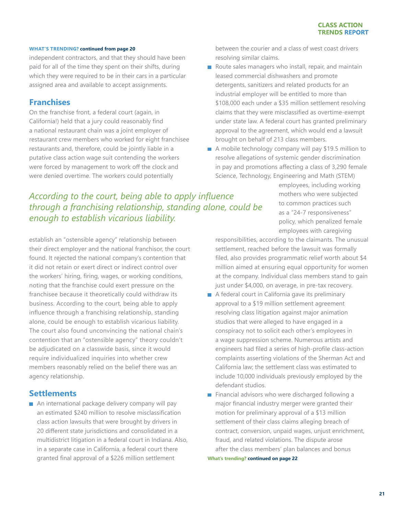#### **WHAT'S TRENDING? continued from page 20**

independent contractors, and that they should have been paid for all of the time they spent on their shifts, during which they were required to be in their cars in a particular assigned area and available to accept assignments.

### **Franchises**

On the franchise front, a federal court (again, in California!) held that a jury could reasonably find a national restaurant chain was a joint employer of restaurant crew members who worked for eight franchisee restaurants and, therefore, could be jointly liable in a putative class action wage suit contending the workers were forced by management to work off the clock and were denied overtime. The workers could potentially

between the courier and a class of west coast drivers resolving similar claims.

- Route sales managers who install, repair, and maintain leased commercial dishwashers and promote detergents, sanitizers and related products for an industrial employer will be entitled to more than \$108,000 each under a \$35 million settlement resolving claims that they were misclassified as overtime-exempt under state law. A federal court has granted preliminary approval to the agreement, which would end a lawsuit brought on behalf of 213 class members.
- A mobile technology company will pay \$19.5 million to resolve allegations of systemic gender discrimination in pay and promotions affecting a class of 3,290 female Science, Technology, Engineering and Math (STEM)

## *According to the court, being able to apply influence through a franchising relationship, standing alone, could be enough to establish vicarious liability.*

establish an "ostensible agency" relationship between their direct employer and the national franchisor, the court found. It rejected the national company's contention that it did not retain or exert direct or indirect control over the workers' hiring, firing, wages, or working conditions, noting that the franchise could exert pressure on the franchisee because it theoretically could withdraw its business. According to the court, being able to apply influence through a franchising relationship, standing alone, could be enough to establish vicarious liability. The court also found unconvincing the national chain's contention that an "ostensible agency" theory couldn't be adjudicated on a classwide basis, since it would require individualized inquiries into whether crew members reasonably relied on the belief there was an agency relationship.

#### **Settlements**

An international package delivery company will pay an estimated \$240 million to resolve misclassification class action lawsuits that were brought by drivers in 20 different state jurisdictions and consolidated in a multidistrict litigation in a federal court in Indiana. Also, in a separate case in California, a federal court there granted final approval of a \$226 million settlement

employees, including working mothers who were subjected to common practices such as a "24-7 responsiveness" policy, which penalized female employees with caregiving

responsibilities, according to the claimants. The unusual settlement, reached before the lawsuit was formally filed, also provides programmatic relief worth about \$4 million aimed at ensuring equal opportunity for women at the company. Individual class members stand to gain just under \$4,000, on average, in pre-tax recovery.

- A federal court in California gave its preliminary approval to a \$19 million settlement agreement resolving class litigation against major animation studios that were alleged to have engaged in a conspiracy not to solicit each other's employees in a wage suppression scheme. Numerous artists and engineers had filed a series of high-profile class-action complaints asserting violations of the Sherman Act and California law; the settlement class was estimated to include 10,000 individuals previously employed by the defendant studios.
- **Financial advisors who were discharged following a** major financial industry merger were granted their motion for preliminary approval of a \$13 million settlement of their class claims alleging breach of contract, conversion, unpaid wages, unjust enrichment, fraud, and related violations. The dispute arose after the class members' plan balances and bonus

**What's trending? continued on page 22**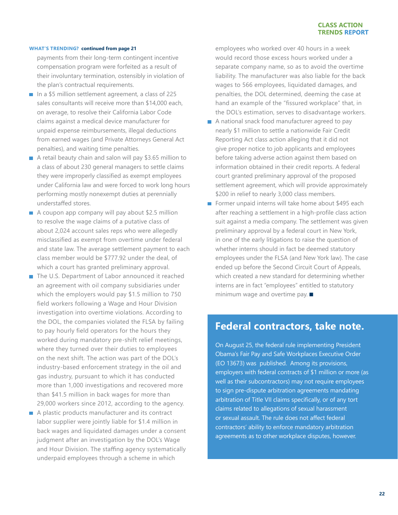#### **WHAT'S TRENDING? continued from page 21**

payments from their long-term contingent incentive compensation program were forfeited as a result of their involuntary termination, ostensibly in violation of the plan's contractual requirements.

- In a \$5 million settlement agreement, a class of 225 sales consultants will receive more than \$14,000 each, on average, to resolve their California Labor Code claims against a medical device manufacturer for unpaid expense reimbursements, illegal deductions from earned wages (and Private Attorneys General Act penalties), and waiting time penalties.
- A retail beauty chain and salon will pay \$3.65 million to a class of about 230 general managers to settle claims they were improperly classified as exempt employees under California law and were forced to work long hours performing mostly nonexempt duties at perennially understaffed stores.
- $\blacksquare$  A coupon app company will pay about \$2.5 million to resolve the wage claims of a putative class of about 2,024 account sales reps who were allegedly misclassified as exempt from overtime under federal and state law. The average settlement payment to each class member would be \$777.92 under the deal, of which a court has granted preliminary approval.
- The U.S. Department of Labor announced it reached an agreement with oil company subsidiaries under which the employers would pay \$1.5 million to 750 field workers following a Wage and Hour Division investigation into overtime violations. According to the DOL, the companies violated the FLSA by failing to pay hourly field operators for the hours they worked during mandatory pre-shift relief meetings, where they turned over their duties to employees on the next shift. The action was part of the DOL's industry-based enforcement strategy in the oil and gas industry, pursuant to which it has conducted more than 1,000 investigations and recovered more than \$41.5 million in back wages for more than 29,000 workers since 2012, according to the agency.
- A plastic products manufacturer and its contract labor supplier were jointly liable for \$1.4 million in back wages and liquidated damages under a consent judgment after an investigation by the DOL's Wage and Hour Division. The staffing agency systematically underpaid employees through a scheme in which

employees who worked over 40 hours in a week would record those excess hours worked under a separate company name, so as to avoid the overtime liability. The manufacturer was also liable for the back wages to 566 employees, liquidated damages, and penalties, the DOL determined, deeming the case at hand an example of the "fissured workplace" that, in the DOL's estimation, serves to disadvantage workers.

- A national snack food manufacturer agreed to pay nearly \$1 million to settle a nationwide Fair Credit Reporting Act class action alleging that it did not give proper notice to job applicants and employees before taking adverse action against them based on information obtained in their credit reports. A federal court granted preliminary approval of the proposed settlement agreement, which will provide approximately \$200 in relief to nearly 3,000 class members.
- Former unpaid interns will take home about \$495 each after reaching a settlement in a high-profile class action suit against a media company. The settlement was given preliminary approval by a federal court in New York, in one of the early litigations to raise the question of whether interns should in fact be deemed statutory employees under the FLSA (and New York law). The case ended up before the Second Circuit Court of Appeals, which created a new standard for determining whether interns are in fact "employees" entitled to statutory minimum wage and overtime pay.  $\blacksquare$

## **Federal contractors, take note.**

On August 25, the federal rule implementing President Obama's Fair Pay and Safe Workplaces Executive Order (EO 13673) was published. Among its provisions, employers with federal contracts of \$1 million or more (as well as their subcontractors) may not require employees to sign pre-dispute arbitration agreements mandating arbitration of Title VII claims specifically, or of any tort claims related to allegations of sexual harassment or sexual assault. The rule does not affect federal contractors' ability to enforce mandatory arbitration agreements as to other workplace disputes, however.